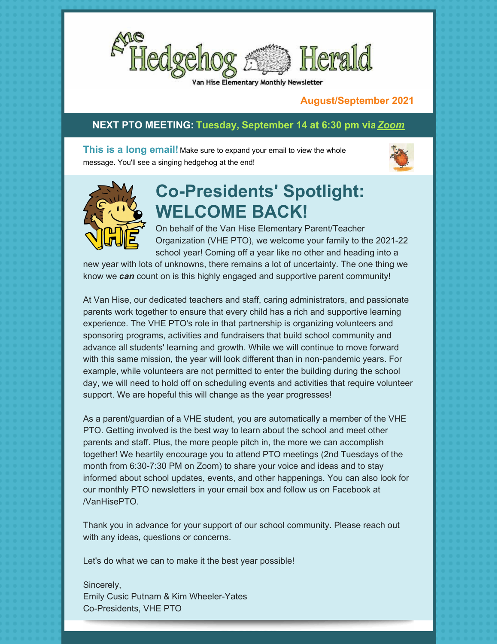

Hise Elementary Monthly Newsletter

#### **August/September 2021**

#### **NEXT PTO MEETING: Tuesday, September 14 at 6:30 pm vi[a](https://us02web.zoom.us/j/89179812285?pwd=U3RSR1ZIeUdhSWZRaGtRLzVsMVUrQT09)***[Zoom](https://us02web.zoom.us/j/86956046342?pwd=ZEc2L08vcG9QeWFDdHZLeTBwU0Nzdz09)*

**This is a long email!** Make sure to expand your email to view the whole message. You'll see a singing hedgehog at the end!





# **Co-Presidents' Spotlight: WELCOME BACK!**

On behalf of the Van Hise Elementary Parent/Teacher Organization (VHE PTO), we welcome your family to the 2021-22 school year! Coming off a year like no other and heading into a

new year with lots of unknowns, there remains a lot of uncertainty. The one thing we know we *can* count on is this highly engaged and supportive parent community!

At Van Hise, our dedicated teachers and staff, caring administrators, and passionate parents work together to ensure that every child has a rich and supportive learning experience. The VHE PTO's role in that partnership is organizing volunteers and sponsorirg programs, activities and fundraisers that build school community and advance all students' learning and growth. While we will continue to move forward with this same mission, the year will look different than in non-pandemic years. For example, while volunteers are not permitted to enter the building during the school day, we will need to hold off on scheduling events and activities that require volunteer support. We are hopeful this will change as the year progresses!

As a parent/guardian of a VHE student, you are automatically a member of the VHE PTO. Getting involved is the best way to learn about the school and meet other parents and staff. Plus, the more people pitch in, the more we can accomplish together! We heartily encourage you to attend PTO meetings (2nd Tuesdays of the month from 6:30-7:30 PM on Zoom) to share your voice and ideas and to stay informed about school updates, events, and other happenings. You can also look for our monthly PTO newsletters in your email box and follow us on Facebook at /VanHisePTO.

Thank you in advance for your support of our school community. Please reach out with any ideas, questions or concerns.

Let's do what we can to make it the best year possible!

Sincerely, Emily Cusic Putnam & Kim Wheeler-Yates Co-Presidents, VHE PTO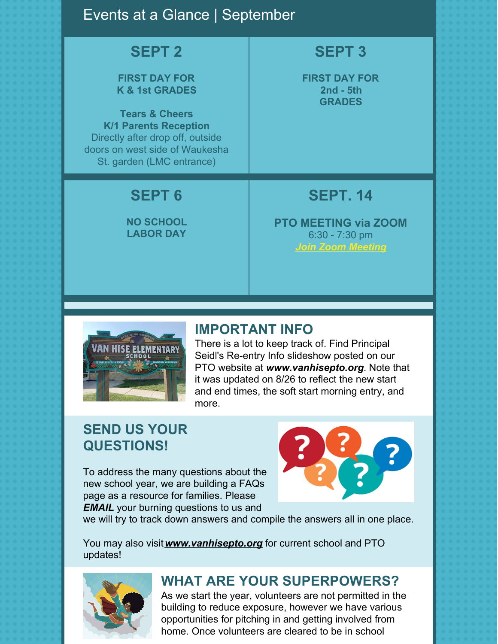#### Events at a Glance | September

#### **SEPT 2**

#### **FIRST DAY FOR K & 1st GRADES**

**Tears & Cheers K/1 Parents Reception** Directly after drop off, outside doors on west side of Waukesha St. garden (LMC entrance)

# **SEPT 6**

**NO SCHOOL LABOR DAY**

# **SEPT 3**

**FIRST DAY FOR 2nd - 5th GRADES**

### **SEPT. 14**

**PTO MEETING via ZOOM** 6:30 - 7:30 pm *Join Zoom [Meeting](https://us02web.zoom.us/j/89179812285?pwd=U3RSR1ZIeUdhSWZRaGtRLzVsMVUrQT09)*



#### **IMPORTANT INFO**

There is a lot to keep track of. Find Principal Seidl's Re-entry Info slideshow posted on our PTO website at *[www.vanhisepto.org](http://www.vanhisepto.org)*. Note that it was updated on 8/26 to reflect the new start and end times, the soft start morning entry, and more.

### **SEND US YOUR QUESTIONS!**

To address the many questions about the new school year, we are building a FAQs page as a resource for families. Please *[EMAIL](mailto:prez@vanhisepto.org)* your burning questions to us and



we will try to track down answers and compile the answers all in one place.

You may also visit*[www.vanhisepto.org](http://www.vanhisepto.org)* for current school and PTO updates!



# **WHAT ARE YOUR SUPERPOWERS?**

As we start the year, volunteers are not permitted in the building to reduce exposure, however we have various opportunities for pitching in and getting involved from home. Once volunteers are cleared to be in school